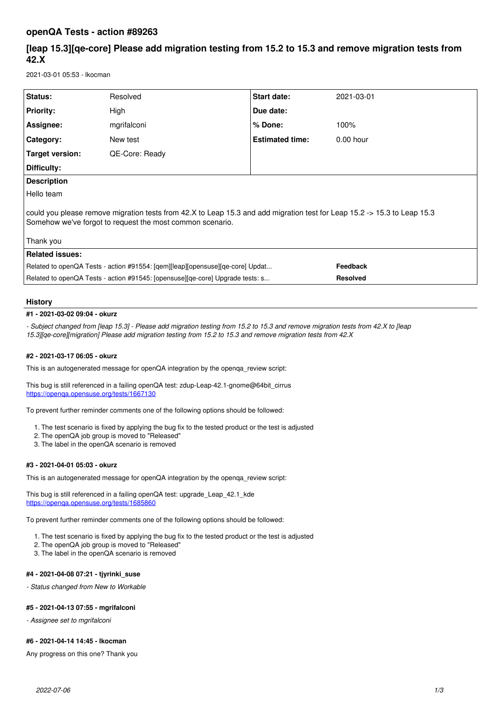## **openQA Tests - action #89263**

# **[leap 15.3][qe-core] Please add migration testing from 15.2 to 15.3 and remove migration tests from 42.X**

2021-03-01 05:53 - lkocman

| Status:                                                                                                                                                                                            | Resolved       | <b>Start date:</b>     | 2021-03-01      |
|----------------------------------------------------------------------------------------------------------------------------------------------------------------------------------------------------|----------------|------------------------|-----------------|
| <b>Priority:</b>                                                                                                                                                                                   | High           | Due date:              |                 |
| Assignee:                                                                                                                                                                                          | mgrifalconi    | % Done:                | 100%            |
| Category:                                                                                                                                                                                          | New test       | <b>Estimated time:</b> | $0.00$ hour     |
| Target version:                                                                                                                                                                                    | QE-Core: Ready |                        |                 |
| Difficulty:                                                                                                                                                                                        |                |                        |                 |
| <b>Description</b>                                                                                                                                                                                 |                |                        |                 |
| Hello team                                                                                                                                                                                         |                |                        |                 |
| could you please remove migration tests from 42.X to Leap 15.3 and add migration test for Leap 15.2 -> 15.3 to Leap 15.3<br>Somehow we've forgot to request the most common scenario.<br>Thank you |                |                        |                 |
| <b>Related issues:</b>                                                                                                                                                                             |                |                        |                 |
| Feedback                                                                                                                                                                                           |                |                        |                 |
| Related to openQA Tests - action #91554: [qem][leap][opensuse][qe-core] Updat                                                                                                                      |                |                        |                 |
| Related to openQA Tests - action #91545: [opensuse][ge-core] Upgrade tests: s                                                                                                                      |                |                        | <b>Resolved</b> |
|                                                                                                                                                                                                    |                |                        |                 |

## **History**

### **#1 - 2021-03-02 09:04 - okurz**

*- Subject changed from [leap 15.3] - Please add migration testing from 15.2 to 15.3 and remove migration tests from 42.X to [leap 15.3][qe-core][migration] Please add migration testing from 15.2 to 15.3 and remove migration tests from 42.X*

## **#2 - 2021-03-17 06:05 - okurz**

This is an autogenerated message for openQA integration by the openqa\_review script:

This bug is still referenced in a failing openQA test: zdup-Leap-42.1-gnome@64bit\_cirrus <https://openqa.opensuse.org/tests/1667130>

To prevent further reminder comments one of the following options should be followed:

- 1. The test scenario is fixed by applying the bug fix to the tested product or the test is adjusted
- 2. The openQA job group is moved to "Released"
- 3. The label in the openQA scenario is removed

## **#3 - 2021-04-01 05:03 - okurz**

This is an autogenerated message for openQA integration by the openqa\_review script:

This bug is still referenced in a failing openQA test: upgrade\_Leap\_42.1\_kde <https://openqa.opensuse.org/tests/1685860>

To prevent further reminder comments one of the following options should be followed:

- 1. The test scenario is fixed by applying the bug fix to the tested product or the test is adjusted
- 2. The openQA job group is moved to "Released"
- 3. The label in the openQA scenario is removed

## **#4 - 2021-04-08 07:21 - tjyrinki\_suse**

*- Status changed from New to Workable*

### **#5 - 2021-04-13 07:55 - mgrifalconi**

*- Assignee set to mgrifalconi*

### **#6 - 2021-04-14 14:45 - lkocman**

Any progress on this one? Thank you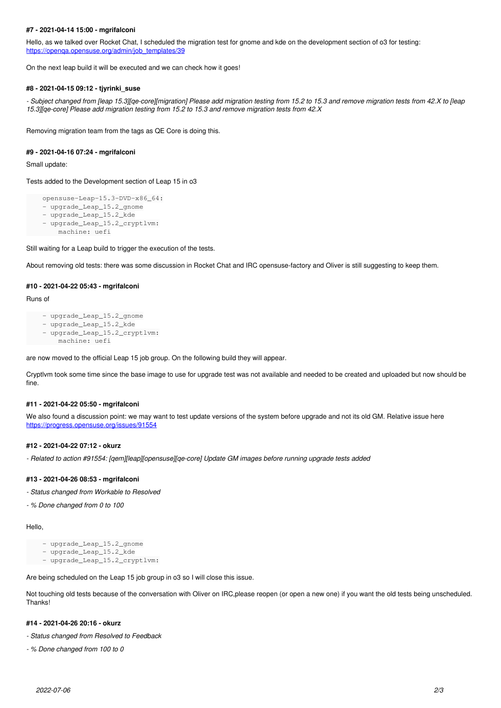## **#7 - 2021-04-14 15:00 - mgrifalconi**

Hello, as we talked over Rocket Chat, I scheduled the migration test for gnome and kde on the development section of o3 for testing: [https://openqa.opensuse.org/admin/job\\_templates/39](https://openqa.opensuse.org/admin/job_templates/39)

On the next leap build it will be executed and we can check how it goes!

#### **#8 - 2021-04-15 09:12 - tjyrinki\_suse**

*- Subject changed from [leap 15.3][qe-core][migration] Please add migration testing from 15.2 to 15.3 and remove migration tests from 42.X to [leap 15.3][qe-core] Please add migration testing from 15.2 to 15.3 and remove migration tests from 42.X*

Removing migration team from the tags as QE Core is doing this.

#### **#9 - 2021-04-16 07:24 - mgrifalconi**

Small update:

Tests added to the Development section of Leap 15 in o3

```
    opensuse-Leap-15.3-DVD-x86_64:
- upgrade_Leap_15.2_gnome
```

```
    - upgrade_Leap_15.2_kde
```
- upgrade\_Leap\_15.2\_cryptlvm:
- machine: uefi

Still waiting for a Leap build to trigger the execution of the tests.

About removing old tests: there was some discussion in Rocket Chat and IRC opensuse-factory and Oliver is still suggesting to keep them.

#### **#10 - 2021-04-22 05:43 - mgrifalconi**

#### Runs of

```
    - upgrade_Leap_15.2_gnome
```

```
    - upgrade_Leap_15.2_kde
```

```
    - upgrade_Leap_15.2_cryptlvm:
        machine: uefi
```
are now moved to the official Leap 15 job group. On the following build they will appear.

Cryptlvm took some time since the base image to use for upgrade test was not available and needed to be created and uploaded but now should be fine.

## **#11 - 2021-04-22 05:50 - mgrifalconi**

We also found a discussion point: we may want to test update versions of the system before upgrade and not its old GM. Relative issue here <https://progress.opensuse.org/issues/91554>

## **#12 - 2021-04-22 07:12 - okurz**

*- Related to action #91554: [qem][leap][opensuse][qe-core] Update GM images before running upgrade tests added*

### **#13 - 2021-04-26 08:53 - mgrifalconi**

*- Status changed from Workable to Resolved*

*- % Done changed from 0 to 100*

Hello,

- upgrade\_Leap\_15.2\_gnome

```
    - upgrade_Leap_15.2_kde
```
- upgrade\_Leap\_15.2\_cryptlvm:

Are being scheduled on the Leap 15 job group in o3 so I will close this issue.

Not touching old tests because of the conversation with Oliver on IRC,please reopen (or open a new one) if you want the old tests being unscheduled. Thanks!

## **#14 - 2021-04-26 20:16 - okurz**

- *Status changed from Resolved to Feedback*
- *% Done changed from 100 to 0*